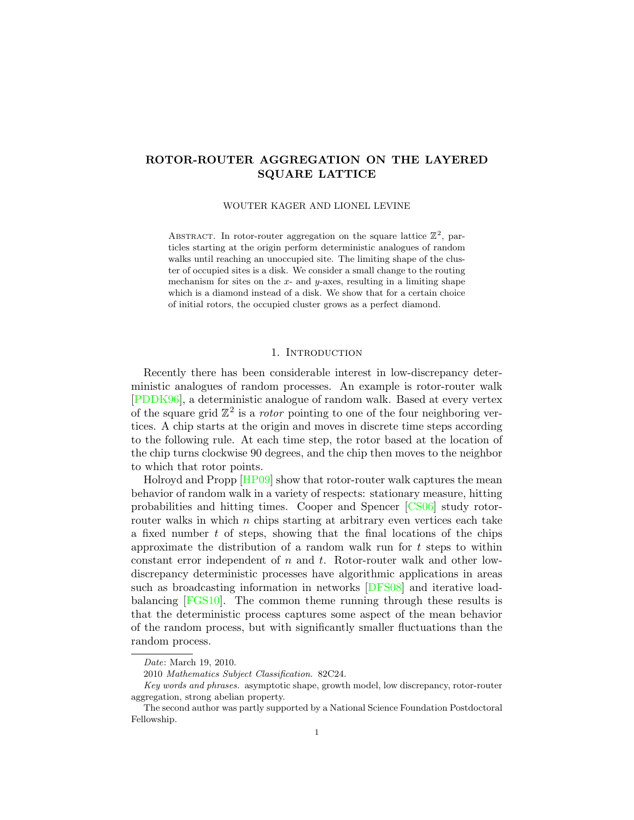# ROTOR-ROUTER AGGREGATION ON THE LAYERED SQUARE LATTICE

WOUTER KAGER AND LIONEL LEVINE

ABSTRACT. In rotor-router aggregation on the square lattice  $\mathbb{Z}^2$ , particles starting at the origin perform deterministic analogues of random walks until reaching an unoccupied site. The limiting shape of the cluster of occupied sites is a disk. We consider a small change to the routing mechanism for sites on the  $x$ - and  $y$ -axes, resulting in a limiting shape which is a diamond instead of a disk. We show that for a certain choice of initial rotors, the occupied cluster grows as a perfect diamond.

## 1. INTRODUCTION

Recently there has been considerable interest in low-discrepancy deterministic analogues of random processes. An example is rotor-router walk [\[PDDK96\]](#page-10-0), a deterministic analogue of random walk. Based at every vertex of the square grid  $\mathbb{Z}^2$  is a *rotor* pointing to one of the four neighboring vertices. A chip starts at the origin and moves in discrete time steps according to the following rule. At each time step, the rotor based at the location of the chip turns clockwise 90 degrees, and the chip then moves to the neighbor to which that rotor points.

Holroyd and Propp [\[HP09\]](#page-10-1) show that rotor-router walk captures the mean behavior of random walk in a variety of respects: stationary measure, hitting probabilities and hitting times. Cooper and Spencer [\[CS06\]](#page-10-2) study rotorrouter walks in which  $n$  chips starting at arbitrary even vertices each take a fixed number  $t$  of steps, showing that the final locations of the chips approximate the distribution of a random walk run for  $t$  steps to within constant error independent of  $n$  and  $t$ . Rotor-router walk and other lowdiscrepancy deterministic processes have algorithmic applications in areas such as broadcasting information in networks [\[DFS08\]](#page-10-3) and iterative loadbalancing [\[FGS10\]](#page-10-4). The common theme running through these results is that the deterministic process captures some aspect of the mean behavior of the random process, but with significantly smaller fluctuations than the random process.

Date: March 19, 2010.

<sup>2010</sup> Mathematics Subject Classification. 82C24.

Key words and phrases. asymptotic shape, growth model, low discrepancy, rotor-router aggregation, strong abelian property.

The second author was partly supported by a National Science Foundation Postdoctoral Fellowship.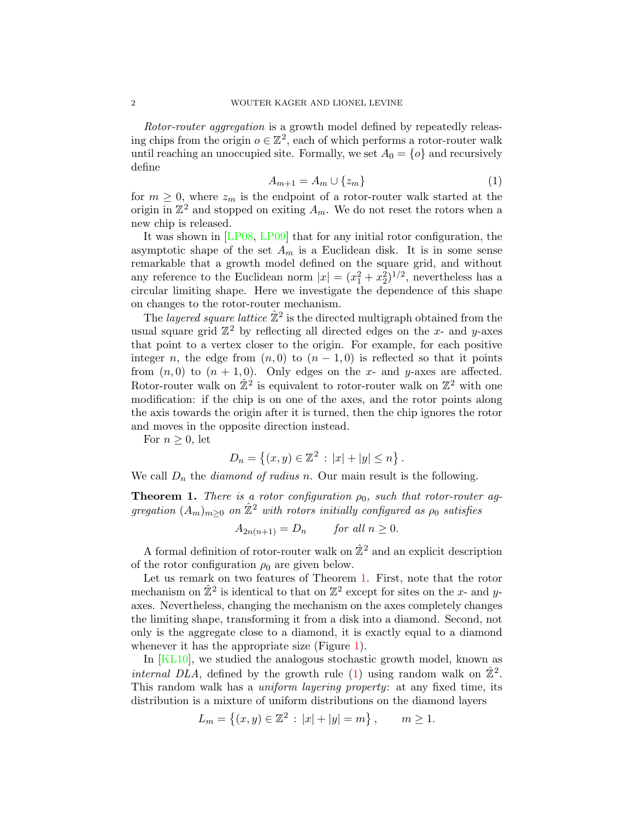Rotor-router aggregation is a growth model defined by repeatedly releasing chips from the origin  $o \in \mathbb{Z}^2$ , each of which performs a rotor-router walk until reaching an unoccupied site. Formally, we set  $A_0 = \{o\}$  and recursively define

<span id="page-1-1"></span>
$$
A_{m+1} = A_m \cup \{z_m\} \tag{1}
$$

for  $m \geq 0$ , where  $z_m$  is the endpoint of a rotor-router walk started at the origin in  $\mathbb{Z}^2$  and stopped on exiting  $A_m$ . We do not reset the rotors when a new chip is released.

It was shown in [\[LP08,](#page-10-5) [LP09\]](#page-10-6) that for any initial rotor configuration, the asymptotic shape of the set  $A_m$  is a Euclidean disk. It is in some sense remarkable that a growth model defined on the square grid, and without any reference to the Euclidean norm  $|x| = (x_1^2 + x_2^2)^{1/2}$ , nevertheless has a circular limiting shape. Here we investigate the dependence of this shape on changes to the rotor-router mechanism.

The *layered square lattice*  $\hat{\mathbb{Z}}^2$  is the directed multigraph obtained from the usual square grid  $\mathbb{Z}^2$  by reflecting all directed edges on the x- and y-axes that point to a vertex closer to the origin. For example, for each positive integer n, the edge from  $(n, 0)$  to  $(n - 1, 0)$  is reflected so that it points from  $(n, 0)$  to  $(n + 1, 0)$ . Only edges on the x- and y-axes are affected. Rotor-router walk on  $\hat{\mathbb{Z}}^2$  is equivalent to rotor-router walk on  $\mathbb{Z}^2$  with one modification: if the chip is on one of the axes, and the rotor points along the axis towards the origin after it is turned, then the chip ignores the rotor and moves in the opposite direction instead.

For  $n \geq 0$ , let

$$
D_n = \{(x, y) \in \mathbb{Z}^2 : |x| + |y| \le n\}.
$$

We call  $D_n$  the *diamond of radius n*. Our main result is the following.

<span id="page-1-0"></span>**Theorem 1.** There is a rotor configuration  $\rho_0$ , such that rotor-router aggregation  $(A_m)_{m>0}$  on  $\hat{\mathbb{Z}}^2$  with rotors initially configured as  $\rho_0$  satisfies

$$
A_{2n(n+1)} = D_n \qquad \text{for all } n \ge 0.
$$

A formal definition of rotor-router walk on  $\hat{\mathbb{Z}}^2$  and an explicit description of the rotor configuration  $\rho_0$  are given below.

Let us remark on two features of Theorem [1.](#page-1-0) First, note that the rotor mechanism on  $\hat{\mathbb{Z}}^2$  is identical to that on  $\mathbb{Z}^2$  except for sites on the x- and yaxes. Nevertheless, changing the mechanism on the axes completely changes the limiting shape, transforming it from a disk into a diamond. Second, not only is the aggregate close to a diamond, it is exactly equal to a diamond whenever it has the appropriate size (Figure [1\)](#page-2-0).

In [\[KL10\]](#page-10-7), we studied the analogous stochastic growth model, known as internal DLA, defined by the growth rule [\(1\)](#page-1-1) using random walk on  $\hat{\mathbb{Z}}^2$ . This random walk has a *uniform layering property*: at any fixed time, its distribution is a mixture of uniform distributions on the diamond layers

$$
L_m = \{(x, y) \in \mathbb{Z}^2 : |x| + |y| = m\}, \quad m \ge 1.
$$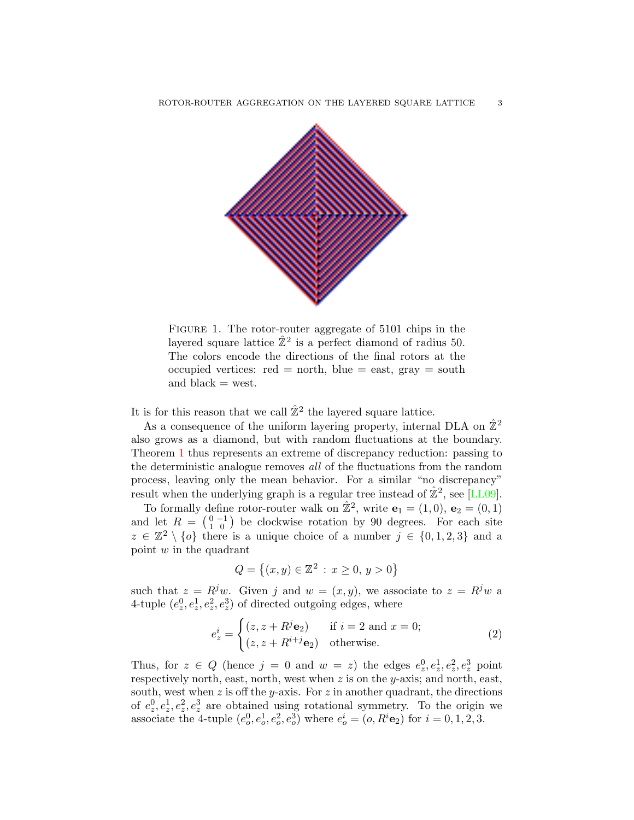

<span id="page-2-0"></span>Figure 1. The rotor-router aggregate of 5101 chips in the layered square lattice  $\hat{\mathbb{Z}}^2$  is a perfect diamond of radius 50. The colors encode the directions of the final rotors at the occupied vertices:  $red = north$ ,  $blue = east$ ,  $gray = south$ and black  $=$  west.

It is for this reason that we call  $\hat{\mathbb{Z}}^2$  the layered square lattice.

As a consequence of the uniform layering property, internal DLA on  $\mathbb{Z}^2$ also grows as a diamond, but with random fluctuations at the boundary. Theorem [1](#page-1-0) thus represents an extreme of discrepancy reduction: passing to the deterministic analogue removes all of the fluctuations from the random process, leaving only the mean behavior. For a similar "no discrepancy" result when the underlying graph is a regular tree instead of  $\hat{\mathbb{Z}}^2$ , see [\[LL09\]](#page-10-8).

To formally define rotor-router walk on  $\hat{\mathbb{Z}}^2$ , write  $\mathbf{e}_1 = (1,0), \, \mathbf{e}_2 = (0,1)$ and let  $R = \begin{pmatrix} 0 & -1 \\ 1 & 0 \end{pmatrix}$  be clockwise rotation by 90 degrees. For each site  $z \in \mathbb{Z}^2 \setminus \{o\}$  there is a unique choice of a number  $j \in \{0,1,2,3\}$  and a point w in the quadrant

$$
Q = \{(x, y) \in \mathbb{Z}^2 : x \ge 0, y > 0\}
$$

such that  $z = R^j w$ . Given j and  $w = (x, y)$ , we associate to  $z = R^j w$  a 4-tuple  $(e_z^0, e_z^1, e_z^2, e_z^3)$  of directed outgoing edges, where

<span id="page-2-1"></span>
$$
e_z^i = \begin{cases} (z, z + R^j \mathbf{e}_2) & \text{if } i = 2 \text{ and } x = 0; \\ (z, z + R^{i+j} \mathbf{e}_2) & \text{otherwise.} \end{cases}
$$
 (2)

Thus, for  $z \in Q$  (hence  $j = 0$  and  $w = z$ ) the edges  $e_z^0, e_z^1, e_z^2, e_z^3$  point respectively north, east, north, west when  $z$  is on the y-axis; and north, east, south, west when  $z$  is off the *y*-axis. For  $z$  in another quadrant, the directions of  $e_2^0, e_2^1, e_2^2, e_2^3$  are obtained using rotational symmetry. To the origin we associate the 4-tuple  $(e_0^0, e_0^1, e_0^2, e_0^3)$  where  $e_0^i = (o, R^i \mathbf{e}_2)$  for  $i = 0, 1, 2, 3$ .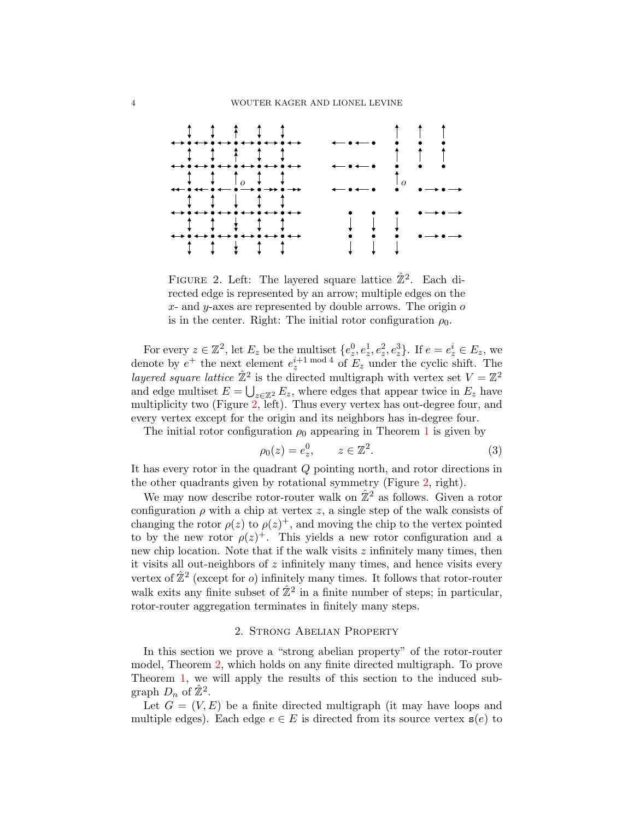

<span id="page-3-0"></span>FIGURE 2. Left: The layered square lattice  $\hat{\mathbb{Z}}^2$ . Each directed edge is represented by an arrow; multiple edges on the  $x$ - and  $y$ -axes are represented by double arrows. The origin  $o$ is in the center. Right: The initial rotor configuration  $\rho_0$ .

For every  $z \in \mathbb{Z}^2$ , let  $E_z$  be the multiset  $\{e_z^0, e_z^1, e_z^2, e_z^3\}$ . If  $e = e_z^i \in E_z$ , we denote by  $e^+$  the next element  $e^{i+1 \bmod 4}$  of  $E_z$  under the cyclic shift. The layered square lattice  $\hat{\mathbb{Z}}^2$  is the directed multigraph with vertex set  $V = \mathbb{Z}^2$ and edge multiset  $E = \bigcup_{z \in \mathbb{Z}^2} E_z$ , where edges that appear twice in  $E_z$  have multiplicity two (Figure [2,](#page-3-0) left). Thus every vertex has out-degree four, and every vertex except for the origin and its neighbors has in-degree four.

The initial rotor configuration  $\rho_0$  appearing in Theorem [1](#page-1-0) is given by

<span id="page-3-1"></span>
$$
\rho_0(z) = e_z^0, \qquad z \in \mathbb{Z}^2. \tag{3}
$$

It has every rotor in the quadrant Q pointing north, and rotor directions in the other quadrants given by rotational symmetry (Figure [2,](#page-3-0) right).

We may now describe rotor-router walk on  $\hat{\mathbb{Z}}^2$  as follows. Given a rotor configuration  $\rho$  with a chip at vertex z, a single step of the walk consists of changing the rotor  $\rho(z)$  to  $\rho(z)^+$ , and moving the chip to the vertex pointed to by the new rotor  $\rho(z)^+$ . This yields a new rotor configuration and a new chip location. Note that if the walk visits  $z$  infinitely many times, then it visits all out-neighbors of  $z$  infinitely many times, and hence visits every vertex of  $\hat{\mathbb{Z}}^2$  (except for *o*) infinitely many times. It follows that rotor-router walk exits any finite subset of  $\hat{\mathbb{Z}}^2$  in a finite number of steps; in particular, rotor-router aggregation terminates in finitely many steps.

### 2. Strong Abelian Property

In this section we prove a "strong abelian property" of the rotor-router model, Theorem [2,](#page-5-0) which holds on any finite directed multigraph. To prove Theorem [1,](#page-1-0) we will apply the results of this section to the induced subgraph  $D_n$  of  $\hat{\mathbb{Z}}^2$ .

Let  $G = (V, E)$  be a finite directed multigraph (it may have loops and multiple edges). Each edge  $e \in E$  is directed from its source vertex  $s(e)$  to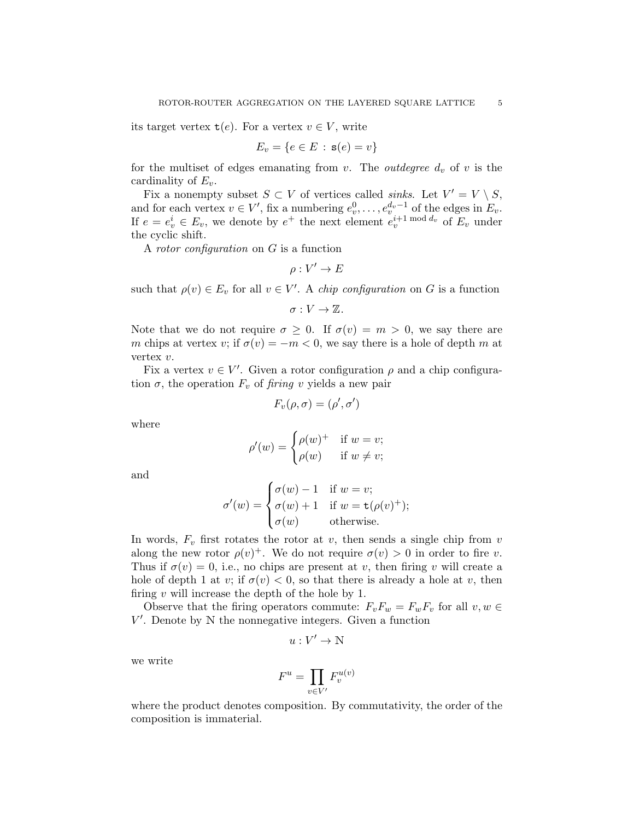its target vertex  $t(e)$ . For a vertex  $v \in V$ , write

$$
E_v = \{e \in E \,:\, \mathbf{s}(e) = v\}
$$

for the multiset of edges emanating from v. The *outdegree*  $d_v$  of v is the cardinality of  $E_v$ .

Fix a nonempty subset  $S \subset V$  of vertices called *sinks*. Let  $V' = V \setminus S$ , and for each vertex  $v \in V'$ , fix a numbering  $e_v^0, \ldots, e_v^{d_v-1}$  of the edges in  $E_v$ . If  $e = e_v^i \in E_v$ , we denote by  $e^+$  the next element  $e_v^{i+1 \mod d_v}$  of  $E_v$  under the cyclic shift.

A rotor configuration on G is a function

$$
\rho:V'\to E
$$

such that  $\rho(v) \in E_v$  for all  $v \in V'$ . A *chip configuration* on G is a function

 $\sigma: V \to \mathbb{Z}$ .

Note that we do not require  $\sigma \geq 0$ . If  $\sigma(v) = m > 0$ , we say there are m chips at vertex v; if  $\sigma(v) = -m < 0$ , we say there is a hole of depth m at vertex v.

Fix a vertex  $v \in V'$ . Given a rotor configuration  $\rho$  and a chip configuration  $\sigma$ , the operation  $F_v$  of firing v yields a new pair

$$
F_v(\rho,\sigma)=(\rho',\sigma')
$$

where

$$
\rho'(w) = \begin{cases} \rho(w)^+ & \text{if } w = v; \\ \rho(w) & \text{if } w \neq v; \end{cases}
$$

and

$$
\sigma'(w) = \begin{cases} \sigma(w) - 1 & \text{if } w = v; \\ \sigma(w) + 1 & \text{if } w = \mathsf{t}(\rho(v)^+); \\ \sigma(w) & \text{otherwise.} \end{cases}
$$

In words,  $F_v$  first rotates the rotor at v, then sends a single chip from v along the new rotor  $\rho(v)^+$ . We do not require  $\sigma(v) > 0$  in order to fire v. Thus if  $\sigma(v) = 0$ , i.e., no chips are present at v, then firing v will create a hole of depth 1 at v; if  $\sigma(v) < 0$ , so that there is already a hole at v, then firing  $v$  will increase the depth of the hole by 1.

Observe that the firing operators commute:  $F_vF_w = F_wF_v$  for all  $v, w \in$  $V'$ . Denote by  $N$  the nonnegative integers. Given a function

$$
u:V'\rightarrow\mathbb{N}
$$

we write

$$
F^u = \prod_{v \in V'} F_v^{u(v)}
$$

where the product denotes composition. By commutativity, the order of the composition is immaterial.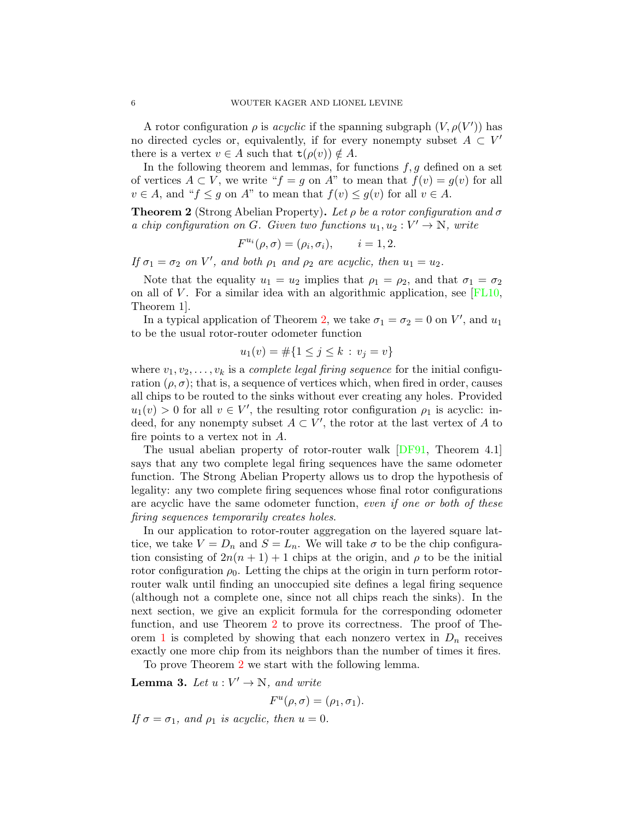A rotor configuration  $\rho$  is *acyclic* if the spanning subgraph  $(V, \rho(V'))$  has no directed cycles or, equivalently, if for every nonempty subset  $A \subset V'$ there is a vertex  $v \in A$  such that  $\mathsf{t}(\rho(v)) \notin A$ .

In the following theorem and lemmas, for functions  $f, g$  defined on a set of vertices  $A \subset V$ , we write " $f = g$  on  $A$ " to mean that  $f(v) = g(v)$  for all  $v \in A$ , and " $f \leq g$  on  $A$ " to mean that  $f(v) \leq g(v)$  for all  $v \in A$ .

<span id="page-5-0"></span>**Theorem 2** (Strong Abelian Property). Let  $\rho$  be a rotor configuration and  $\sigma$ a chip configuration on G. Given two functions  $u_1, u_2 : V' \to \mathbb{N}$ , write

$$
F^{u_i}(\rho, \sigma) = (\rho_i, \sigma_i), \qquad i = 1, 2.
$$

If  $\sigma_1 = \sigma_2$  on V', and both  $\rho_1$  and  $\rho_2$  are acyclic, then  $u_1 = u_2$ .

Note that the equality  $u_1 = u_2$  implies that  $\rho_1 = \rho_2$ , and that  $\sigma_1 = \sigma_2$ on all of V. For a similar idea with an algorithmic application, see  $[FL10,$ Theorem 1].

In a typical application of Theorem [2,](#page-5-0) we take  $\sigma_1 = \sigma_2 = 0$  on V', and  $u_1$ to be the usual rotor-router odometer function

$$
u_1(v) = \#\{1 \le j \le k : v_j = v\}
$$

where  $v_1, v_2, \ldots, v_k$  is a *complete legal firing sequence* for the initial configuration  $(\rho, \sigma)$ ; that is, a sequence of vertices which, when fired in order, causes all chips to be routed to the sinks without ever creating any holes. Provided  $u_1(v) > 0$  for all  $v \in V'$ , the resulting rotor configuration  $\rho_1$  is acyclic: indeed, for any nonempty subset  $A \subset V'$ , the rotor at the last vertex of A to fire points to a vertex not in A.

The usual abelian property of rotor-router walk [\[DF91,](#page-10-10) Theorem 4.1] says that any two complete legal firing sequences have the same odometer function. The Strong Abelian Property allows us to drop the hypothesis of legality: any two complete firing sequences whose final rotor configurations are acyclic have the same odometer function, even if one or both of these firing sequences temporarily creates holes.

In our application to rotor-router aggregation on the layered square lattice, we take  $V = D_n$  and  $S = L_n$ . We will take  $\sigma$  to be the chip configuration consisting of  $2n(n + 1) + 1$  chips at the origin, and  $\rho$  to be the initial rotor configuration  $\rho_0$ . Letting the chips at the origin in turn perform rotorrouter walk until finding an unoccupied site defines a legal firing sequence (although not a complete one, since not all chips reach the sinks). In the next section, we give an explicit formula for the corresponding odometer function, and use Theorem [2](#page-5-0) to prove its correctness. The proof of The-orem [1](#page-1-0) is completed by showing that each nonzero vertex in  $D_n$  receives exactly one more chip from its neighbors than the number of times it fires.

To prove Theorem [2](#page-5-0) we start with the following lemma.

<span id="page-5-1"></span>**Lemma 3.** Let  $u: V' \to \mathbb{N}$ , and write

 $F^u(\rho, \sigma) = (\rho_1, \sigma_1).$ 

If  $\sigma = \sigma_1$ , and  $\rho_1$  is acyclic, then  $u = 0$ .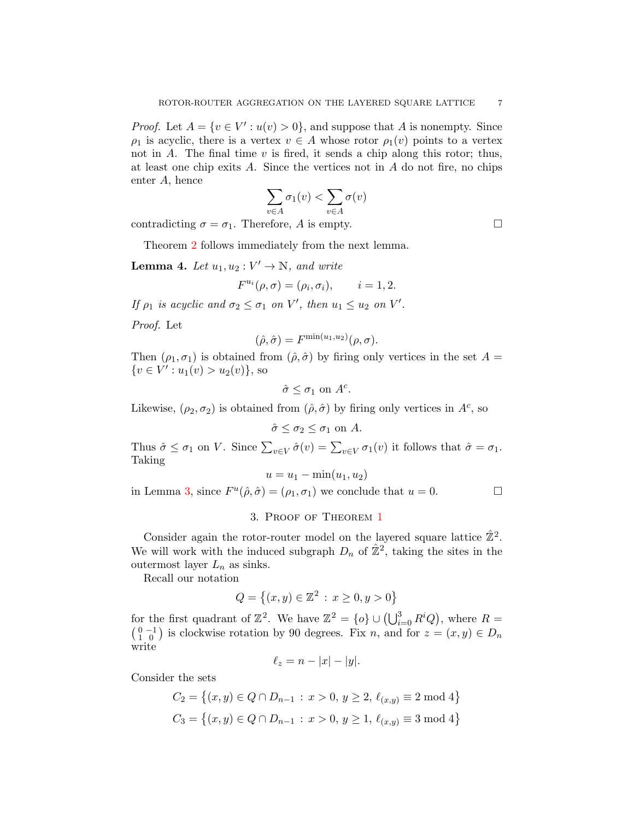*Proof.* Let  $A = \{v \in V': u(v) > 0\}$ , and suppose that A is nonempty. Since  $\rho_1$  is acyclic, there is a vertex  $v \in A$  whose rotor  $\rho_1(v)$  points to a vertex not in  $A$ . The final time  $v$  is fired, it sends a chip along this rotor; thus, at least one chip exits  $A$ . Since the vertices not in  $A$  do not fire, no chips enter A, hence

$$
\sum_{v \in A} \sigma_1(v) < \sum_{v \in A} \sigma(v)
$$

contradicting  $\sigma = \sigma_1$ . Therefore, A is empty.

Theorem [2](#page-5-0) follows immediately from the next lemma.

**Lemma 4.** Let  $u_1, u_2 : V' \to \mathbb{N}$ , and write

$$
F^{u_i}(\rho, \sigma) = (\rho_i, \sigma_i), \qquad i = 1, 2.
$$

If  $\rho_1$  is acyclic and  $\sigma_2 \leq \sigma_1$  on V', then  $u_1 \leq u_2$  on V'.

Proof. Let

$$
(\hat{\rho}, \hat{\sigma}) = F^{\min(u_1, u_2)}(\rho, \sigma).
$$

Then  $(\rho_1, \sigma_1)$  is obtained from  $(\hat{\rho}, \hat{\sigma})$  by firing only vertices in the set  $A =$  $\{v \in V': u_1(v) > u_2(v)\}\text{, so}$ 

$$
\hat{\sigma} \leq \sigma_1 \text{ on } A^c.
$$

Likewise,  $(\rho_2, \sigma_2)$  is obtained from  $(\hat{\rho}, \hat{\sigma})$  by firing only vertices in  $A^c$ , so

$$
\hat{\sigma} \le \sigma_2 \le \sigma_1 \text{ on } A.
$$

Thus  $\hat{\sigma} \leq \sigma_1$  on V. Since  $\sum_{v \in V} \hat{\sigma}(v) = \sum_{v \in V} \sigma_1(v)$  it follows that  $\hat{\sigma} = \sigma_1$ . Taking

$$
u = u_1 - \min(u_1, u_2)
$$

in Lemma [3,](#page-5-1) since  $F^u(\hat{\rho}, \hat{\sigma}) = (\rho_1, \sigma_1)$  we conclude that  $u = 0$ .

### 3. Proof of Theorem [1](#page-1-0)

Consider again the rotor-router model on the layered square lattice  $\hat{\mathbb{Z}}^2$ . We will work with the induced subgraph  $D_n$  of  $\hat{\mathbb{Z}}^2$ , taking the sites in the outermost layer  $L_n$  as sinks.

Recall our notation

$$
Q = \{(x, y) \in \mathbb{Z}^2 : x \ge 0, y > 0\}
$$

for the first quadrant of  $\mathbb{Z}^2$ . We have  $\mathbb{Z}^2 = \{o\} \cup (\bigcup_{i=0}^3 R^i Q)$ , where  $R =$  $\begin{pmatrix} 0 & -1 \\ 1 & 0 \end{pmatrix}$  is clockwise rotation by 90 degrees. Fix n, and for  $z = (x, y) \in D_n$ write

$$
\ell_z = n - |x| - |y|.
$$

Consider the sets

$$
C_2 = \{(x, y) \in Q \cap D_{n-1} : x > 0, y \ge 2, \ell_{(x,y)} \equiv 2 \mod 4\}
$$
  

$$
C_3 = \{(x, y) \in Q \cap D_{n-1} : x > 0, y \ge 1, \ell_{(x,y)} \equiv 3 \mod 4\}
$$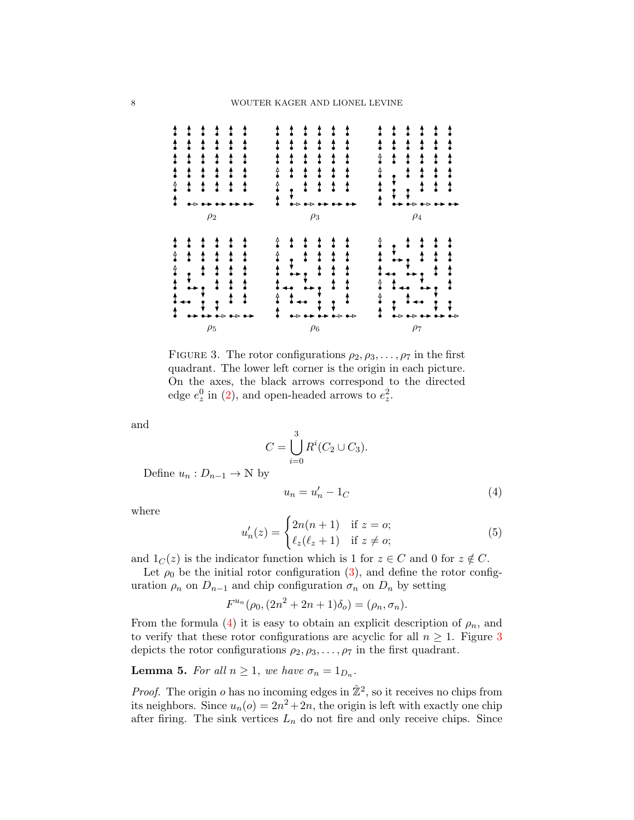

<span id="page-7-1"></span>FIGURE 3. The rotor configurations  $\rho_2, \rho_3, \ldots, \rho_7$  in the first quadrant. The lower left corner is the origin in each picture. On the axes, the black arrows correspond to the directed edge  $e_z^0$  in [\(2\)](#page-2-1), and open-headed arrows to  $e_z^2$ .

and

$$
C = \bigcup_{i=0}^{3} R^{i} (C_2 \cup C_3).
$$

Define  $u_n: D_{n-1} \to \mathbb{N}$  by

<span id="page-7-0"></span>
$$
u_n = u'_n - 1_C \tag{4}
$$

where

<span id="page-7-2"></span>
$$
u'_n(z) = \begin{cases} 2n(n+1) & \text{if } z = 0; \\ \ell_z(\ell_z + 1) & \text{if } z \neq 0; \end{cases}
$$
 (5)

and  $1_C(z)$  is the indicator function which is 1 for  $z \in C$  and 0 for  $z \notin C$ .

Let  $\rho_0$  be the initial rotor configuration [\(3\)](#page-3-1), and define the rotor configuration  $\rho_n$  on  $D_{n-1}$  and chip configuration  $\sigma_n$  on  $D_n$  by setting

$$
F^{u_n}(\rho_0, (2n^2 + 2n + 1)\delta_o) = (\rho_n, \sigma_n).
$$

From the formula [\(4\)](#page-7-0) it is easy to obtain an explicit description of  $\rho_n$ , and to verify that these rotor configurations are acyclic for all  $n \geq 1$ . Figure [3](#page-7-1) depicts the rotor configurations  $\rho_2, \rho_3, \ldots, \rho_7$  in the first quadrant.

<span id="page-7-3"></span>**Lemma 5.** For all  $n \geq 1$ , we have  $\sigma_n = 1_{D_n}$ .

*Proof.* The origin *o* has no incoming edges in  $\mathbb{Z}^2$ , so it receives no chips from its neighbors. Since  $u_n(o) = 2n^2 + 2n$ , the origin is left with exactly one chip after firing. The sink vertices  $L_n$  do not fire and only receive chips. Since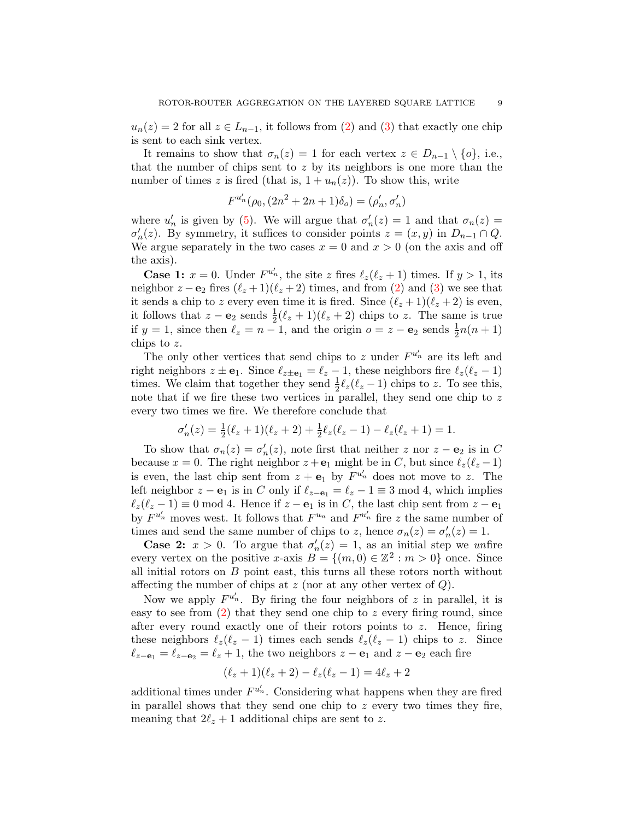$u_n(z) = 2$  for all  $z \in L_{n-1}$ , it follows from [\(2\)](#page-2-1) and [\(3\)](#page-3-1) that exactly one chip is sent to each sink vertex.

It remains to show that  $\sigma_n(z) = 1$  for each vertex  $z \in D_{n-1} \setminus \{o\}$ , i.e., that the number of chips sent to  $z$  by its neighbors is one more than the number of times z is fired (that is,  $1 + u_n(z)$ ). To show this, write

$$
F^{u'_n}(\rho_0, (2n^2 + 2n + 1)\delta_o) = (\rho'_n, \sigma'_n)
$$

where  $u'_n$  is given by [\(5\)](#page-7-2). We will argue that  $\sigma'_n(z) = 1$  and that  $\sigma_n(z) =$  $\sigma'_n(z)$ . By symmetry, it suffices to consider points  $z = (x, y)$  in  $D_{n-1} \cap Q$ . We argue separately in the two cases  $x = 0$  and  $x > 0$  (on the axis and off the axis).

**Case 1:**  $x = 0$ . Under  $F^{u'_n}$ , the site z fires  $\ell_z(\ell_z + 1)$  times. If  $y > 1$ , its neighbor  $z - \mathbf{e}_2$  fires  $(\ell_z + 1)(\ell_z + 2)$  times, and from [\(2\)](#page-2-1) and [\(3\)](#page-3-1) we see that it sends a chip to z every even time it is fired. Since  $(\ell_z + 1)(\ell_z + 2)$  is even, it follows that  $z - \mathbf{e}_2$  sends  $\frac{1}{2}(\ell_z + 1)(\ell_z + 2)$  chips to z. The same is true if  $y = 1$ , since then  $\ell_z = n - 1$ , and the origin  $o = z - \mathbf{e}_2$  sends  $\frac{1}{2}n(n + 1)$ chips to z.

The only other vertices that send chips to z under  $F^{u'_n}$  are its left and right neighbors  $z \pm \mathbf{e}_1$ . Since  $\ell_{z\pm\mathbf{e}_1} = \ell_z - 1$ , these neighbors fire  $\ell_z(\ell_z - 1)$ times. We claim that together they send  $\frac{1}{2}\ell_z(\ell_z - 1)$  chips to z. To see this, note that if we fire these two vertices in parallel, they send one chip to  $z$ every two times we fire. We therefore conclude that

$$
\sigma'_n(z) = \frac{1}{2}(\ell_z + 1)(\ell_z + 2) + \frac{1}{2}\ell_z(\ell_z - 1) - \ell_z(\ell_z + 1) = 1.
$$

To show that  $\sigma_n(z) = \sigma'_n(z)$ , note first that neither z nor  $z - \mathbf{e}_2$  is in C because  $x = 0$ . The right neighbor  $z + e_1$  might be in C, but since  $\ell_z(\ell_z - 1)$ is even, the last chip sent from  $z + e_1$  by  $F^{u'_n}$  does not move to z. The left neighbor  $z - \mathbf{e}_1$  is in C only if  $\ell_{z-\mathbf{e}_1} = \ell_z - 1 \equiv 3 \mod 4$ , which implies  $\ell_z(\ell_z - 1) \equiv 0 \mod 4$ . Hence if  $z - e_1$  is in C, the last chip sent from  $z - e_1$ by  $F^{u'_n}$  moves west. It follows that  $F^{u_n}$  and  $F^{u'_n}$  fire z the same number of times and send the same number of chips to z, hence  $\sigma_n(z) = \sigma'_n(z) = 1$ .

**Case 2:**  $x > 0$ . To argue that  $\sigma'_n(z) = 1$ , as an initial step we unfire every vertex on the positive x-axis  $B = \{(m, 0) \in \mathbb{Z}^2 : m > 0\}$  once. Since all initial rotors on  $B$  point east, this turns all these rotors north without affecting the number of chips at  $z$  (nor at any other vertex of  $Q$ ).

Now we apply  $F^{u'_n}$ . By firing the four neighbors of z in parallel, it is easy to see from  $(2)$  that they send one chip to z every firing round, since after every round exactly one of their rotors points to z. Hence, firing these neighbors  $\ell_z(\ell_z - 1)$  times each sends  $\ell_z(\ell_z - 1)$  chips to z. Since  $\ell_{z-\mathbf{e}_1} = \ell_{z-\mathbf{e}_2} = \ell_z + 1$ , the two neighbors  $z - \mathbf{e}_1$  and  $z - \mathbf{e}_2$  each fire

$$
(\ell_z + 1)(\ell_z + 2) - \ell_z(\ell_z - 1) = 4\ell_z + 2
$$

additional times under  $F^{u'_n}$ . Considering what happens when they are fired in parallel shows that they send one chip to  $z$  every two times they fire, meaning that  $2\ell_z + 1$  additional chips are sent to z.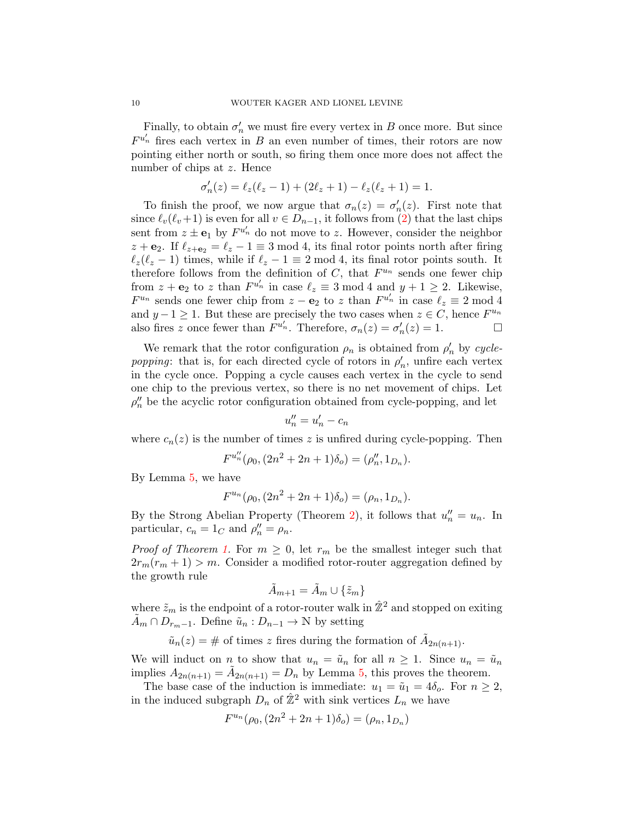Finally, to obtain  $\sigma'_n$  we must fire every vertex in B once more. But since  $F^{u'_n}$  fires each vertex in B an even number of times, their rotors are now pointing either north or south, so firing them once more does not affect the number of chips at z. Hence

$$
\sigma'_n(z) = \ell_z(\ell_z - 1) + (2\ell_z + 1) - \ell_z(\ell_z + 1) = 1.
$$

To finish the proof, we now argue that  $\sigma_n(z) = \sigma'_n(z)$ . First note that since  $\ell_v(\ell_v+1)$  is even for all  $v \in D_{n-1}$ , it follows from [\(2\)](#page-2-1) that the last chips sent from  $z \pm \mathbf{e}_1$  by  $F^{u'_n}$  do not move to z. However, consider the neighbor  $z + e_2$ . If  $\ell_{z+e_2} = \ell_z - 1 \equiv 3 \mod 4$ , its final rotor points north after firing  $\ell_z(\ell_z - 1)$  times, while if  $\ell_z - 1 \equiv 2 \mod 4$ , its final rotor points south. It therefore follows from the definition of  $C$ , that  $F^{u_n}$  sends one fewer chip from  $z + \mathbf{e}_2$  to z than  $F^{u'_n}$  in case  $\ell_z \equiv 3 \mod 4$  and  $y + 1 \geq 2$ . Likewise,  $F^{u_n}$  sends one fewer chip from  $z - \mathbf{e}_2$  to z than  $F^{u'_n}$  in case  $\ell_z \equiv 2 \mod 4$ and  $y-1 \geq 1$ . But these are precisely the two cases when  $z \in C$ , hence  $F^{u_n}$ also fires z once fewer than  $F^{u'_n}$ . Therefore,  $\sigma_n(z) = \sigma'_n(z) = 1$ .

We remark that the rotor configuration  $\rho_n$  is obtained from  $\rho'_n$  by cyclepopping: that is, for each directed cycle of rotors in  $\rho'_n$ , unfire each vertex in the cycle once. Popping a cycle causes each vertex in the cycle to send one chip to the previous vertex, so there is no net movement of chips. Let  $\rho''_n$  be the acyclic rotor configuration obtained from cycle-popping, and let

$$
u_n'' = u_n' - c_n
$$

where  $c_n(z)$  is the number of times z is unfired during cycle-popping. Then

$$
F^{u''_n}(\rho_0, (2n^2 + 2n + 1)\delta_o) = (\rho''_n, 1_{D_n}).
$$

By Lemma [5,](#page-7-3) we have

$$
F^{u_n}(\rho_0, (2n^2 + 2n + 1)\delta_0) = (\rho_n, 1_{D_n}).
$$

By the Strong Abelian Property (Theorem [2\)](#page-5-0), it follows that  $u_n'' = u_n$ . In particular,  $c_n = 1_C$  and  $\rho''_n = \rho_n$ .

*Proof of Theorem [1.](#page-1-0)* For  $m \geq 0$ , let  $r_m$  be the smallest integer such that  $2r_m(r_m + 1) > m$ . Consider a modified rotor-router aggregation defined by the growth rule

$$
\tilde{A}_{m+1} = \tilde{A}_m \cup \{\tilde{z}_m\}
$$

where  $\tilde{z}_m$  is the endpoint of a rotor-router walk in  $\mathbb{Z}^2$  and stopped on exiting  $A_m \cap D_{r_m-1}$ . Define  $\tilde{u}_n : D_{n-1} \to \mathbb{N}$  by setting

$$
\tilde{u}_n(z) = \text{# of times } z \text{ fires during the formation of } \tilde{A}_{2n(n+1)}.
$$

We will induct on *n* to show that  $u_n = \tilde{u}_n$  for all  $n \geq 1$ . Since  $u_n = \tilde{u}_n$ implies  $A_{2n(n+1)} = \tilde{A}_{2n(n+1)} = D_n$  by Lemma [5,](#page-7-3) this proves the theorem.

The base case of the induction is immediate:  $u_1 = \tilde{u}_1 = 4\delta_o$ . For  $n \geq 2$ , in the induced subgraph  $D_n$  of  $\mathbb{Z}^2$  with sink vertices  $L_n$  we have

$$
F^{u_n}(\rho_0, (2n^2 + 2n + 1)\delta_o) = (\rho_n, 1_{D_n})
$$